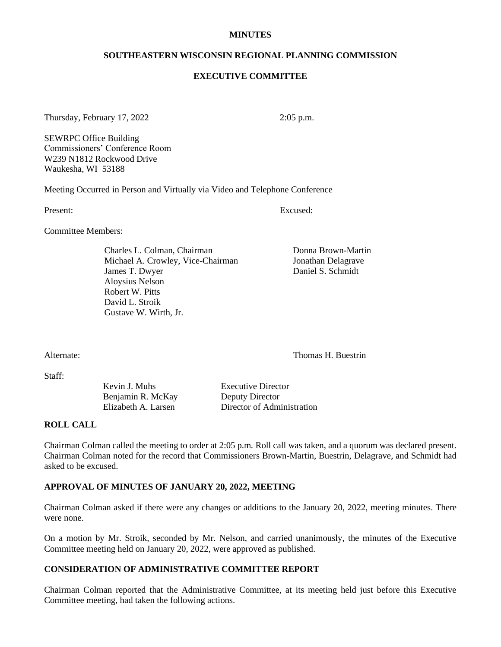#### **MINUTES**

#### **SOUTHEASTERN WISCONSIN REGIONAL PLANNING COMMISSION**

#### **EXECUTIVE COMMITTEE**

Thursday, February 17, 2022 2:05 p.m.

SEWRPC Office Building Commissioners' Conference Room W239 N1812 Rockwood Drive Waukesha, WI 53188

Meeting Occurred in Person and Virtually via Video and Telephone Conference

Present: Excused:

Committee Members:

Charles L. Colman, Chairman Donna Brown-Martin Michael A. Crowley, Vice-Chairman Jonathan Delagrave James T. Dwyer Daniel S. Schmidt Aloysius Nelson Robert W. Pitts David L. Stroik Gustave W. Wirth, Jr.

Alternate: Thomas H. Buestrin

Staff:

Kevin J. Muhs Executive Director Benjamin R. McKay Deputy Director

Elizabeth A. Larsen Director of Administration

### **ROLL CALL**

Chairman Colman called the meeting to order at 2:05 p.m*.* Roll call was taken, and a quorum was declared present. Chairman Colman noted for the record that Commissioners Brown-Martin, Buestrin, Delagrave, and Schmidt had asked to be excused.

#### **APPROVAL OF MINUTES OF JANUARY 20, 2022, MEETING**

Chairman Colman asked if there were any changes or additions to the January 20, 2022, meeting minutes. There were none.

On a motion by Mr. Stroik, seconded by Mr. Nelson, and carried unanimously, the minutes of the Executive Committee meeting held on January 20, 2022, were approved as published.

## **CONSIDERATION OF ADMINISTRATIVE COMMITTEE REPORT**

Chairman Colman reported that the Administrative Committee, at its meeting held just before this Executive Committee meeting, had taken the following actions.